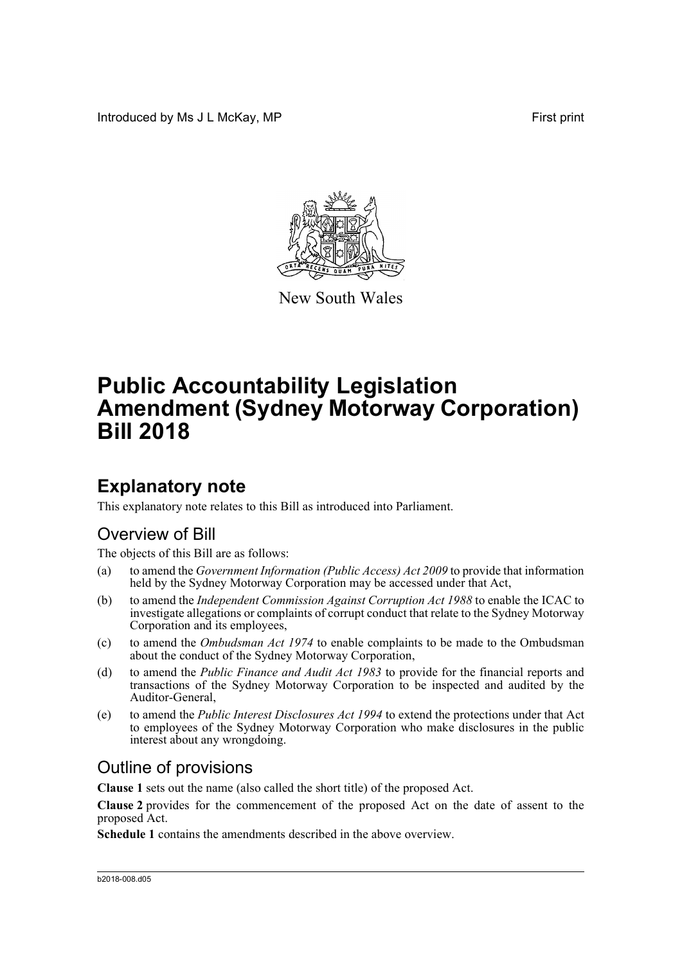Introduced by Ms J L McKay, MP **First** print



New South Wales

# **Public Accountability Legislation Amendment (Sydney Motorway Corporation) Bill 2018**

### **Explanatory note**

This explanatory note relates to this Bill as introduced into Parliament.

#### Overview of Bill

The objects of this Bill are as follows:

- (a) to amend the *Government Information (Public Access) Act 2009* to provide that information held by the Sydney Motorway Corporation may be accessed under that Act,
- (b) to amend the *Independent Commission Against Corruption Act 1988* to enable the ICAC to investigate allegations or complaints of corrupt conduct that relate to the Sydney Motorway Corporation and its employees,
- (c) to amend the *Ombudsman Act 1974* to enable complaints to be made to the Ombudsman about the conduct of the Sydney Motorway Corporation,
- (d) to amend the *Public Finance and Audit Act 1983* to provide for the financial reports and transactions of the Sydney Motorway Corporation to be inspected and audited by the Auditor-General,
- (e) to amend the *Public Interest Disclosures Act 1994* to extend the protections under that Act to employees of the Sydney Motorway Corporation who make disclosures in the public interest about any wrongdoing.

#### Outline of provisions

**Clause 1** sets out the name (also called the short title) of the proposed Act.

**Clause 2** provides for the commencement of the proposed Act on the date of assent to the proposed Act.

**Schedule 1** contains the amendments described in the above overview.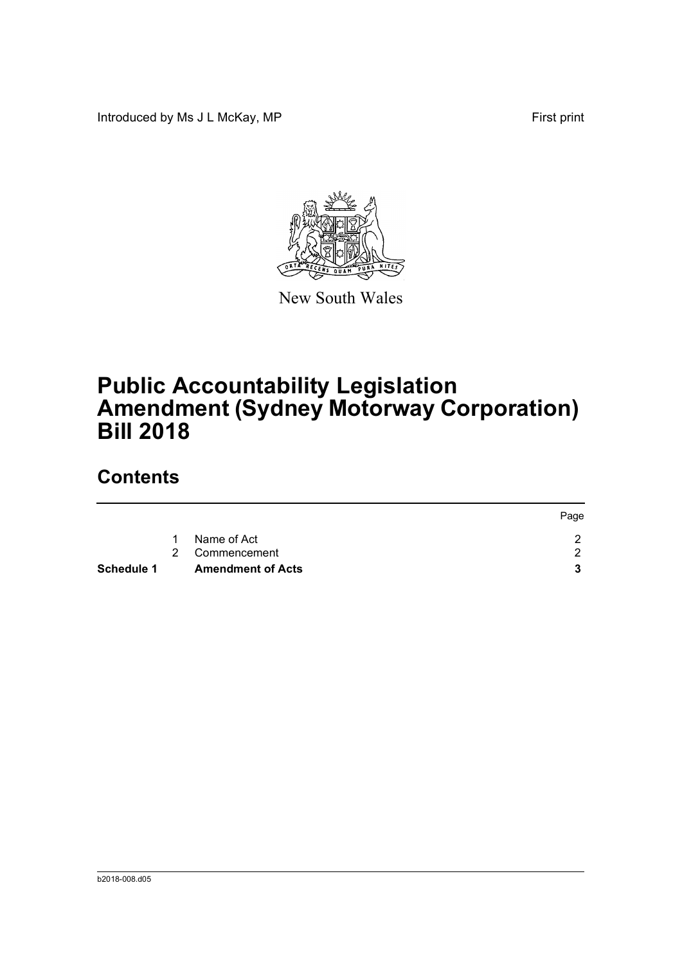Introduced by Ms J L McKay, MP **First** print



New South Wales

# **Public Accountability Legislation Amendment (Sydney Motorway Corporation) Bill 2018**

## **Contents**

|            |                          | Page |
|------------|--------------------------|------|
| -1         | Name of Act              |      |
|            | 2 Commencement           | ົ    |
| Schedule 1 | <b>Amendment of Acts</b> |      |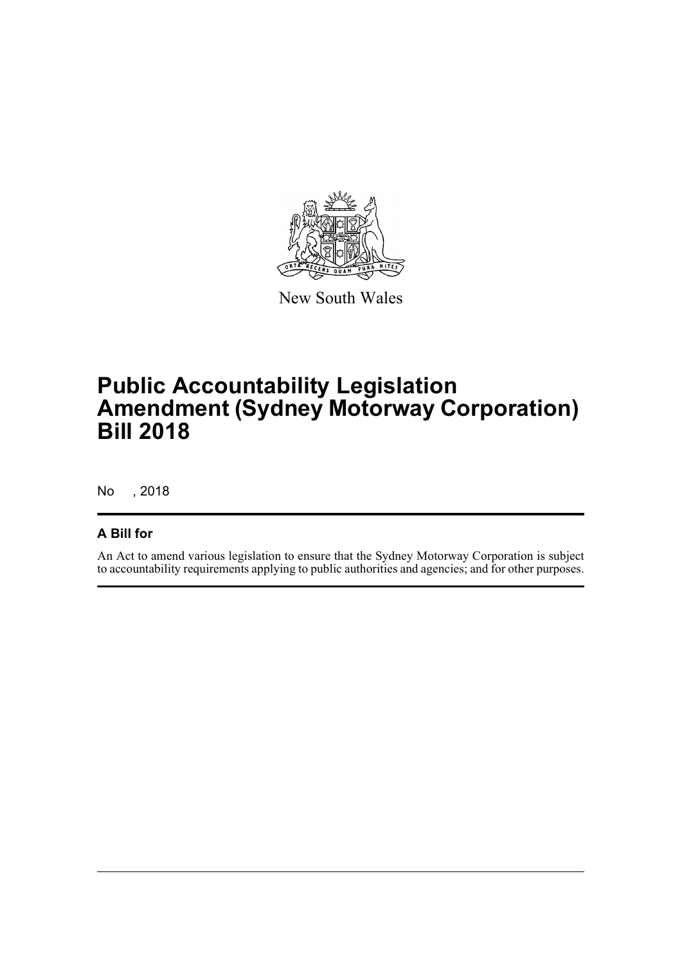

New South Wales

## **Public Accountability Legislation Amendment (Sydney Motorway Corporation) Bill 2018**

No , 2018

#### **A Bill for**

An Act to amend various legislation to ensure that the Sydney Motorway Corporation is subject to accountability requirements applying to public authorities and agencies; and for other purposes.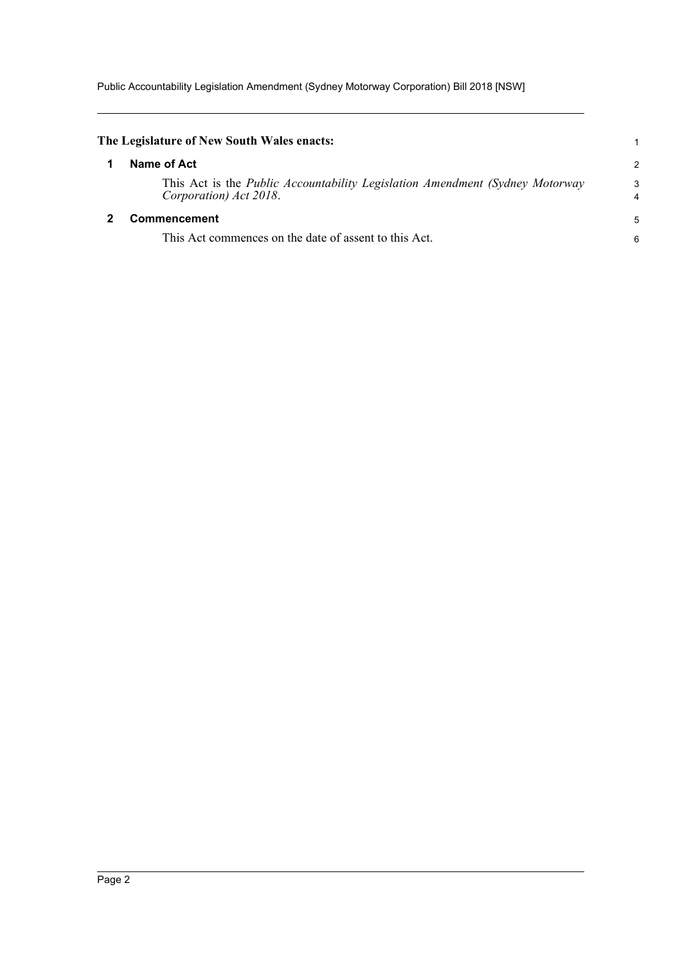Public Accountability Legislation Amendment (Sydney Motorway Corporation) Bill 2018 [NSW]

<span id="page-3-1"></span><span id="page-3-0"></span>

|              | The Legislature of New South Wales enacts:                                                                      |                |
|--------------|-----------------------------------------------------------------------------------------------------------------|----------------|
|              | Name of Act                                                                                                     | $\overline{2}$ |
|              | This Act is the <i>Public Accountability Legislation Amendment (Sydney Motorway</i> )<br>Corporation) Act 2018. | 3<br>4         |
| Commencement |                                                                                                                 | 5              |
|              | This Act commences on the date of assent to this Act.                                                           | 6              |
|              |                                                                                                                 |                |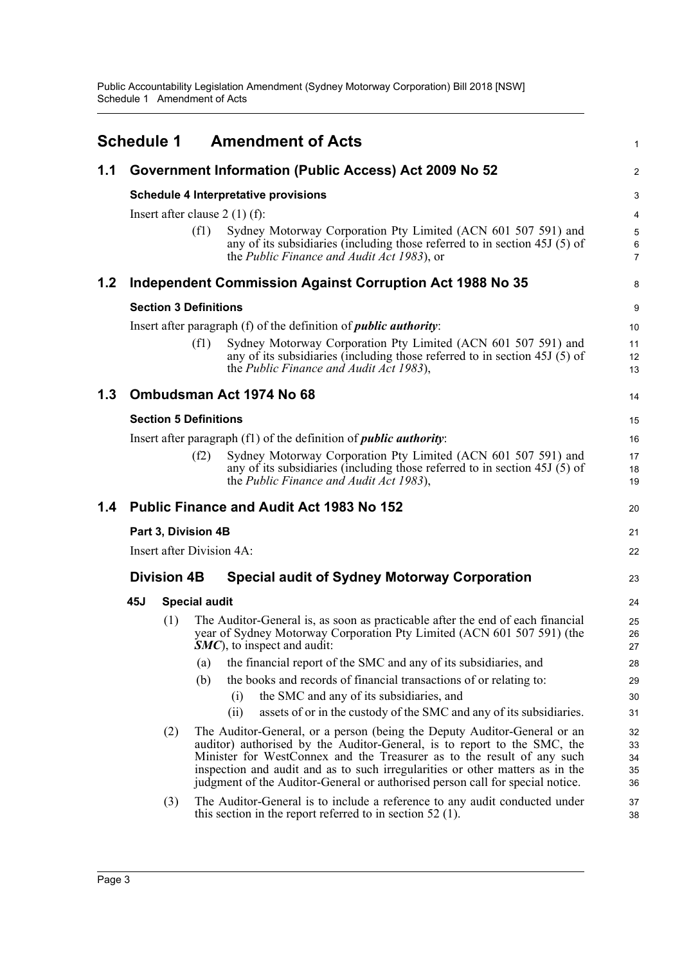<span id="page-4-0"></span>

|               | <b>Schedule 1</b>                                     |                                                                            |                              | <b>Amendment of Acts</b>                                                                                                                                                                                                                                                                                                                                                                         | $\mathbf{1}$                      |
|---------------|-------------------------------------------------------|----------------------------------------------------------------------------|------------------------------|--------------------------------------------------------------------------------------------------------------------------------------------------------------------------------------------------------------------------------------------------------------------------------------------------------------------------------------------------------------------------------------------------|-----------------------------------|
| 1.1           | Government Information (Public Access) Act 2009 No 52 |                                                                            |                              |                                                                                                                                                                                                                                                                                                                                                                                                  | 2                                 |
|               |                                                       |                                                                            |                              | <b>Schedule 4 Interpretative provisions</b>                                                                                                                                                                                                                                                                                                                                                      | 3                                 |
|               |                                                       |                                                                            |                              | Insert after clause $2(1)(f)$ :                                                                                                                                                                                                                                                                                                                                                                  | 4                                 |
|               |                                                       |                                                                            | (f1)                         | Sydney Motorway Corporation Pty Limited (ACN 601 507 591) and<br>any of its subsidiaries (including those referred to in section 45J (5) of<br>the <i>Public Finance and Audit Act 1983</i> ), or                                                                                                                                                                                                | $\sqrt{5}$<br>6<br>$\overline{7}$ |
| 1.2           |                                                       |                                                                            |                              | Independent Commission Against Corruption Act 1988 No 35                                                                                                                                                                                                                                                                                                                                         | 8                                 |
|               |                                                       | <b>Section 3 Definitions</b>                                               |                              |                                                                                                                                                                                                                                                                                                                                                                                                  |                                   |
|               |                                                       |                                                                            |                              | Insert after paragraph (f) of the definition of <i>public authority</i> :                                                                                                                                                                                                                                                                                                                        | 10                                |
|               |                                                       |                                                                            | (f1)                         | Sydney Motorway Corporation Pty Limited (ACN 601 507 591) and<br>any of its subsidiaries (including those referred to in section 45J (5) of<br>the Public Finance and Audit Act 1983),                                                                                                                                                                                                           | 11<br>12<br>13                    |
| 1.3           |                                                       |                                                                            |                              | Ombudsman Act 1974 No 68                                                                                                                                                                                                                                                                                                                                                                         | 14                                |
|               |                                                       |                                                                            | <b>Section 5 Definitions</b> |                                                                                                                                                                                                                                                                                                                                                                                                  | 15                                |
|               |                                                       | Insert after paragraph (f1) of the definition of <i>public authority</i> : |                              |                                                                                                                                                                                                                                                                                                                                                                                                  | 16                                |
|               |                                                       |                                                                            | (f2)                         | Sydney Motorway Corporation Pty Limited (ACN 601 507 591) and<br>any of its subsidiaries (including those referred to in section 45J (5) of<br>the Public Finance and Audit Act 1983),                                                                                                                                                                                                           | 17<br>18<br>19                    |
| $1.4^{\circ}$ |                                                       |                                                                            |                              | <b>Public Finance and Audit Act 1983 No 152</b>                                                                                                                                                                                                                                                                                                                                                  | 20                                |
|               | Part 3, Division 4B                                   |                                                                            |                              |                                                                                                                                                                                                                                                                                                                                                                                                  | 21                                |
|               | Insert after Division 4A:                             |                                                                            |                              |                                                                                                                                                                                                                                                                                                                                                                                                  |                                   |
|               |                                                       | <b>Division 4B</b>                                                         |                              | <b>Special audit of Sydney Motorway Corporation</b>                                                                                                                                                                                                                                                                                                                                              | 23                                |
|               | 45J                                                   |                                                                            | <b>Special audit</b>         |                                                                                                                                                                                                                                                                                                                                                                                                  | 24                                |
|               |                                                       | (1)                                                                        |                              | The Auditor-General is, as soon as practicable after the end of each financial<br>year of Sydney Motorway Corporation Pty Limited (ACN 601 507 591) (the<br>$SMC$ , to inspect and audit:                                                                                                                                                                                                        | 25<br>26<br>27                    |
|               |                                                       |                                                                            | (a)                          | the financial report of the SMC and any of its subsidiaries, and                                                                                                                                                                                                                                                                                                                                 | 28                                |
|               |                                                       |                                                                            | (b)                          | the books and records of financial transactions of or relating to:                                                                                                                                                                                                                                                                                                                               | 29                                |
|               |                                                       |                                                                            |                              | the SMC and any of its subsidiaries, and<br>(i)                                                                                                                                                                                                                                                                                                                                                  | 30                                |
|               |                                                       |                                                                            |                              | assets of or in the custody of the SMC and any of its subsidiaries.<br>(ii)                                                                                                                                                                                                                                                                                                                      | 31                                |
|               |                                                       | (2)                                                                        |                              | The Auditor-General, or a person (being the Deputy Auditor-General or an<br>auditor) authorised by the Auditor-General, is to report to the SMC, the<br>Minister for WestConnex and the Treasurer as to the result of any such<br>inspection and audit and as to such irregularities or other matters as in the<br>judgment of the Auditor-General or authorised person call for special notice. | 32<br>33<br>34<br>35<br>36        |
|               |                                                       | (3)                                                                        |                              | The Auditor-General is to include a reference to any audit conducted under<br>this section in the report referred to in section $52$ (1).                                                                                                                                                                                                                                                        | 37<br>38                          |